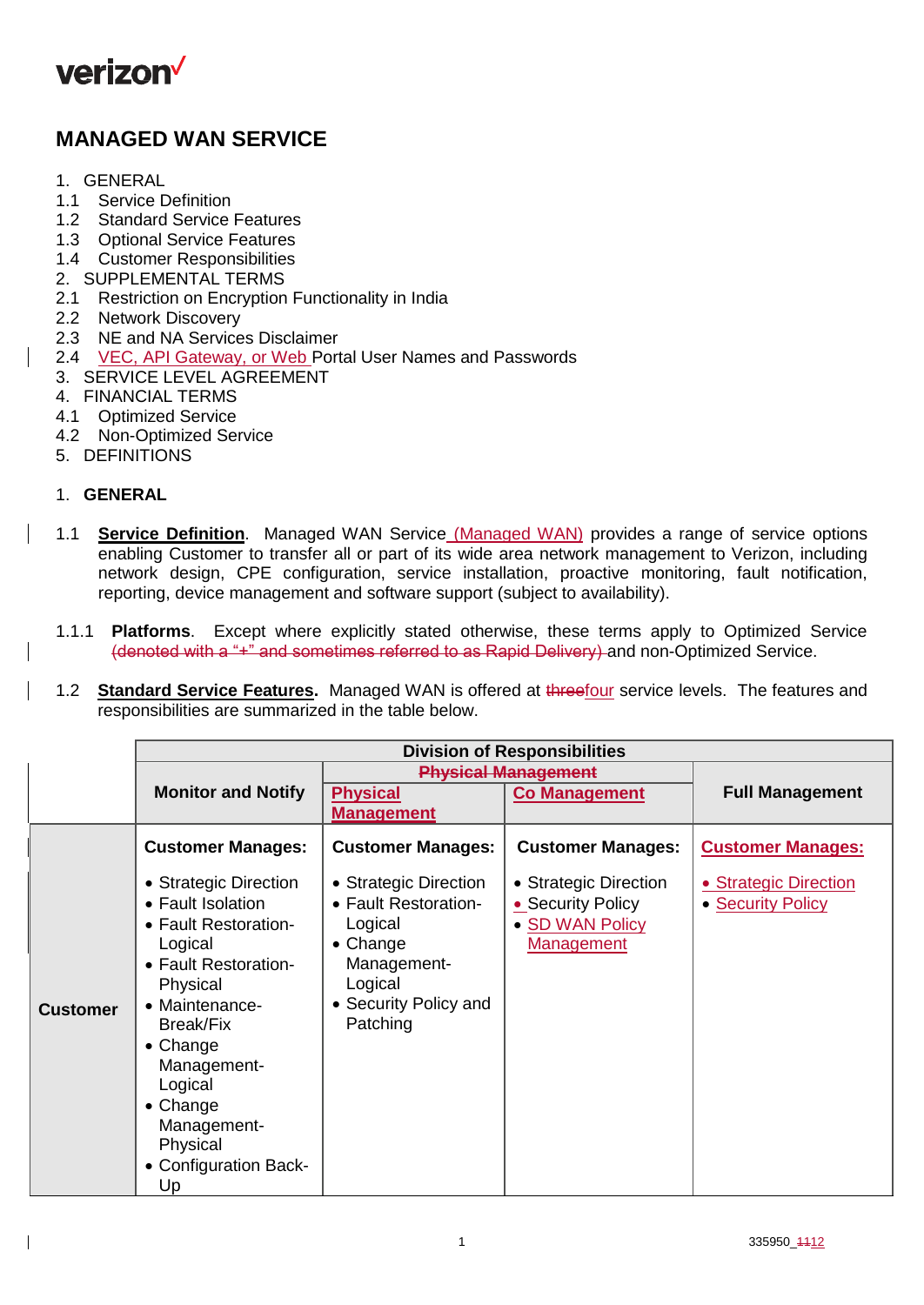

# **MANAGED WAN SERVICE**

- 1. GENERAL
- 1.1 Service Definition
- 1.2 Standard Service Features
- 1.3 Optional Service Features
- 1.4 Customer Responsibilities
- 2. SUPPLEMENTAL TERMS
- 2.1 Restriction on Encryption Functionality in India
- 2.2 Network Discovery
- 2.3 NE and NA Services Disclaimer
- 2.4 VEC, API Gateway, or Web Portal User Names and Passwords
- 3. SERVICE LEVEL AGREEMENT
- 4. FINANCIAL TERMS
- 4.1 Optimized Service
- 4.2 Non-Optimized Service
- 5. DEFINITIONS

## 1. **GENERAL**

- 1.1 **Service Definition**. Managed WAN Service (Managed WAN) provides a range of service options enabling Customer to transfer all or part of its wide area network management to Verizon, including network design, CPE configuration, service installation, proactive monitoring, fault notification, reporting, device management and software support (subject to availability).
- 1.1.1 **Platforms**. Except where explicitly stated otherwise, these terms apply to Optimized Service (denoted with a "+" and sometimes referred to as Rapid Delivery) and non-Optimized Service.
- 1.2 **Standard Service Features.** Managed WAN is offered at threefour service levels. The features and responsibilities are summarized in the table below.

|                 | <b>Division of Responsibilities</b>                                                                                                                                                                                                                                         |                                                                                                                                     |                                                                                    |                                            |
|-----------------|-----------------------------------------------------------------------------------------------------------------------------------------------------------------------------------------------------------------------------------------------------------------------------|-------------------------------------------------------------------------------------------------------------------------------------|------------------------------------------------------------------------------------|--------------------------------------------|
|                 |                                                                                                                                                                                                                                                                             | <b>Physical Management</b>                                                                                                          |                                                                                    |                                            |
|                 | <b>Monitor and Notify</b>                                                                                                                                                                                                                                                   | <b>Physical</b>                                                                                                                     | <b>Co Management</b>                                                               | <b>Full Management</b>                     |
|                 |                                                                                                                                                                                                                                                                             | <b>Management</b>                                                                                                                   |                                                                                    |                                            |
|                 | <b>Customer Manages:</b>                                                                                                                                                                                                                                                    | <b>Customer Manages:</b>                                                                                                            | <b>Customer Manages:</b>                                                           | <b>Customer Manages:</b>                   |
| <b>Customer</b> | • Strategic Direction<br>• Fault Isolation<br>• Fault Restoration-<br>Logical<br>• Fault Restoration-<br>Physical<br>• Maintenance-<br><b>Break/Fix</b><br>• Change<br>Management-<br>Logical<br>$\bullet$ Change<br>Management-<br>Physical<br>• Configuration Back-<br>Up | • Strategic Direction<br>• Fault Restoration-<br>Logical<br>• Change<br>Management-<br>Logical<br>• Security Policy and<br>Patching | • Strategic Direction<br>• Security Policy<br>• SD WAN Policy<br><b>Management</b> | • Strategic Direction<br>• Security Policy |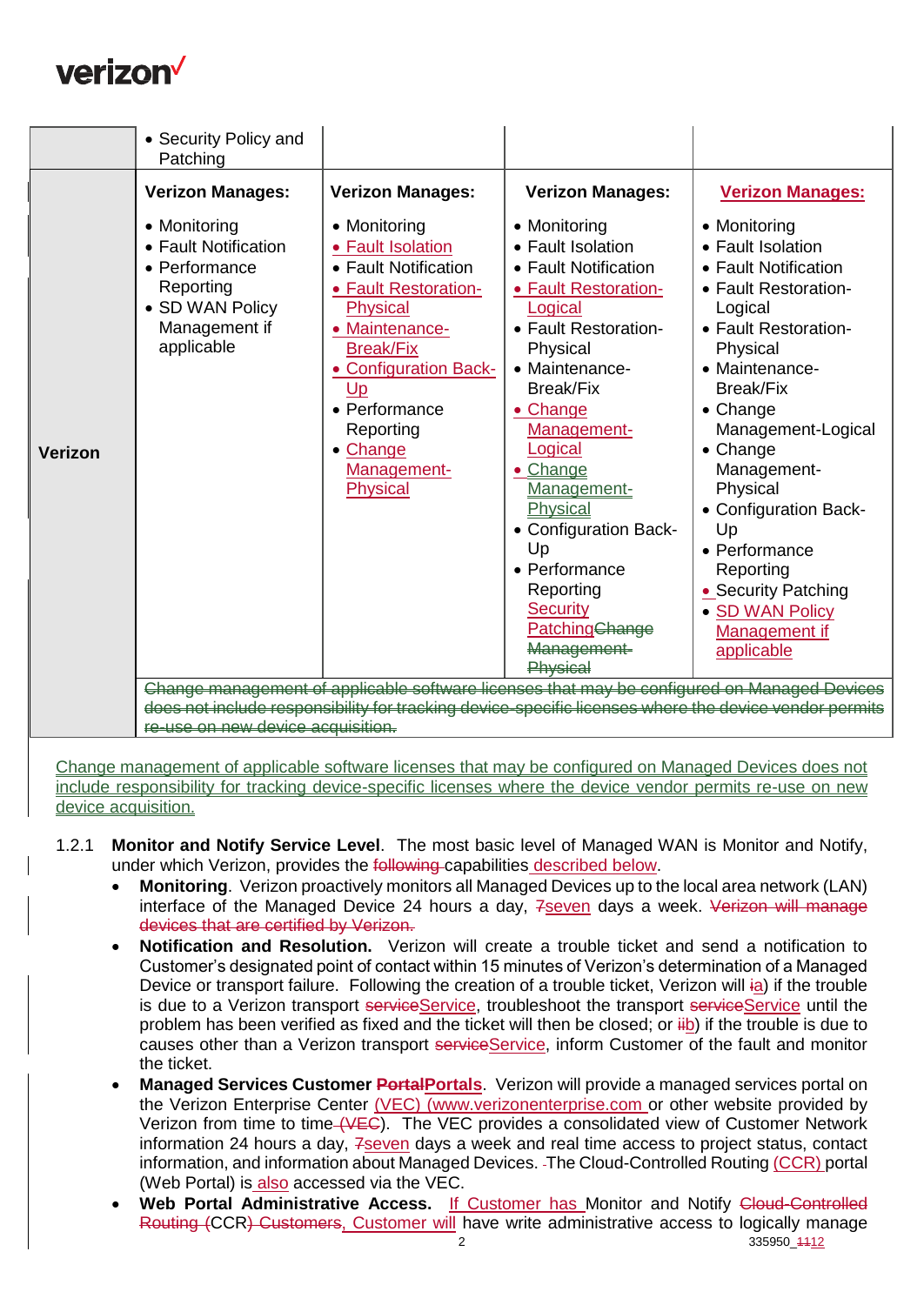

| <b>Verizon Manages:</b><br><b>Verizon Manages:</b><br><b>Verizon Manages:</b><br><b>Verizon Manages:</b><br>• Monitoring<br>• Monitoring<br>• Monitoring<br>• Monitoring<br>• Fault Notification<br>• Fault Isolation<br>• Fault Isolation<br>• Fault Isolation<br>• Fault Notification<br>• Fault Notification<br>• Performance<br>• Fault Notification<br>Reporting<br>· Fault Restoration-<br>• Fault Restoration-<br>• Fault Restoration-<br>• SD WAN Policy<br><b>Physical</b><br>Logical<br>Logical<br>Management if<br>• Fault Restoration-<br>• Fault Restoration-<br>• Maintenance-<br>applicable<br><b>Break/Fix</b><br>Physical<br>Physical<br>• Maintenance-<br>• Maintenance-<br><b>Configuration Back-</b><br><b>Break/Fix</b><br><b>Break/Fix</b><br>Up<br>• Performance<br>• Change<br>$\bullet$ Change<br>Management-Logical<br>Management-<br>Reporting<br>Logical<br>• Change<br>• Change<br>Verizon<br>Management-<br>Management-<br>• Change<br><b>Physical</b><br>Physical<br>Management-<br><b>Physical</b><br>• Configuration Back-<br>• Configuration Back-<br>Up<br>Up<br>• Performance<br>• Performance<br>Reporting<br>Reporting<br>• Security Patching<br><b>Security</b><br>• SD WAN Policy<br><b>Patching</b> Change<br>Management if<br><del>Management</del><br>applicable<br>Change management of applicable software licenses that may be configured on Managed Devices | • Security Policy and<br>Patching |  |  |
|------------------------------------------------------------------------------------------------------------------------------------------------------------------------------------------------------------------------------------------------------------------------------------------------------------------------------------------------------------------------------------------------------------------------------------------------------------------------------------------------------------------------------------------------------------------------------------------------------------------------------------------------------------------------------------------------------------------------------------------------------------------------------------------------------------------------------------------------------------------------------------------------------------------------------------------------------------------------------------------------------------------------------------------------------------------------------------------------------------------------------------------------------------------------------------------------------------------------------------------------------------------------------------------------------------------------------------------------------------------------------------------------------------|-----------------------------------|--|--|
|                                                                                                                                                                                                                                                                                                                                                                                                                                                                                                                                                                                                                                                                                                                                                                                                                                                                                                                                                                                                                                                                                                                                                                                                                                                                                                                                                                                                            |                                   |  |  |
| does not include responsibility for tracking device-specific liconses where the device yender n<br><del>new device acqu</del>                                                                                                                                                                                                                                                                                                                                                                                                                                                                                                                                                                                                                                                                                                                                                                                                                                                                                                                                                                                                                                                                                                                                                                                                                                                                              |                                   |  |  |

Change management of applicable software licenses that may be configured on Managed Devices does not include responsibility for tracking device-specific licenses where the device vendor permits re-use on new device acquisition.

- 1.2.1 **Monitor and Notify Service Level**. The most basic level of Managed WAN is Monitor and Notify, under which Verizon, provides the following capabilities described below.
	- **Monitoring**. Verizon proactively monitors all Managed Devices up to the local area network (LAN) interface of the Managed Device 24 hours a day, 7seven days a week. Verizon will manage devices that are certified by Verizon.
	- **Notification and Resolution.** Verizon will create a trouble ticket and send a notification to Customer's designated point of contact within 15 minutes of Verizon's determination of a Managed Device or transport failure. Following the creation of a trouble ticket, Verizon will ia) if the trouble is due to a Verizon transport serviceService, troubleshoot the transport serviceService until the problem has been verified as fixed and the ticket will then be closed; or  $\frac{1}{10}$  if the trouble is due to causes other than a Verizon transport serviceService, inform Customer of the fault and monitor the ticket.
	- **Managed Services Customer PortalPortals**. Verizon will provide a managed services portal on the Verizon Enterprise Center (VEC) [\(www.verizonenterprise.com](http://www.verizonenterprise.com/) or other website provided by Verizon from time to time (VEC). The VEC provides a consolidated view of Customer Network information 24 hours a day,  $7$  seven days a week and real time access to project status, contact information, and information about Managed Devices. The Cloud-Controlled Routing (CCR) portal (Web Portal) is also accessed via the VEC.
	- 2 335950\_4412 **Web Portal Administrative Access.** If Customer has Monitor and Notify Cloud-Controlled Routing (CCR) Customers, Customer will have write administrative access to logically manage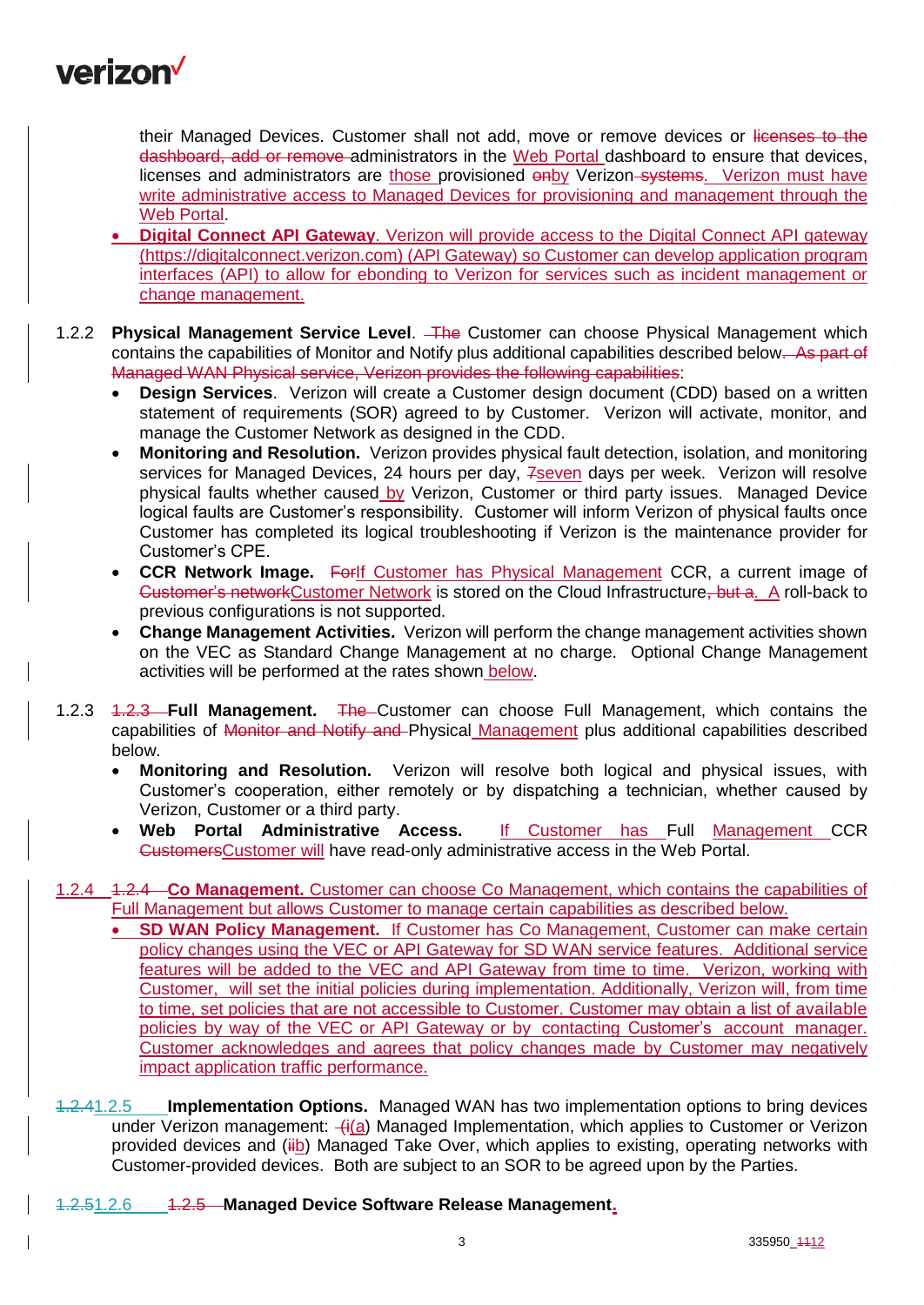

their Managed Devices. Customer shall not add, move or remove devices or licenses to the dashboard, add or remove administrators in the Web Portal dashboard to ensure that devices, licenses and administrators are those provisioned onby Verizon-systems. Verizon must have write administrative access to Managed Devices for provisioning and management through the Web Portal.

- **Digital Connect API Gateway**. Verizon will provide access to the Digital Connect API gateway [\(https://digitalconnect.verizon.com\)](https://digitalconnect.verizon.com/) (API Gateway) so Customer can develop application program interfaces (API) to allow for ebonding to Verizon for services such as incident management or change management.
- 1.2.2 **Physical Management Service Level**. The Customer can choose Physical Management which contains the capabilities of Monitor and Notify plus additional capabilities described below. As part of Managed WAN Physical service, Verizon provides the following capabilities:
	- **Design Services**. Verizon will create a Customer design document (CDD) based on a written statement of requirements (SOR) agreed to by Customer. Verizon will activate, monitor, and manage the Customer Network as designed in the CDD.
	- **Monitoring and Resolution.** Verizon provides physical fault detection, isolation, and monitoring services for Managed Devices, 24 hours per day, 7seven days per week. Verizon will resolve physical faults whether caused by Verizon, Customer or third party issues. Managed Device logical faults are Customer's responsibility. Customer will inform Verizon of physical faults once Customer has completed its logical troubleshooting if Verizon is the maintenance provider for Customer's CPE.
	- **CCR Network Image.** ForIf Customer has Physical Management CCR, a current image of Customer's networkCustomer Network is stored on the Cloud Infrastructure, but a. A roll-back to previous configurations is not supported.
	- **Change Management Activities.** Verizon will perform the change management activities shown on the VEC as Standard Change Management at no charge. Optional Change Management activities will be performed at the rates shown below.
- 1.2.3 1.2.3 **Full Management.** The Customer can choose Full Management, which contains the capabilities of Monitor and Notify and Physical Management plus additional capabilities described below.
	- **Monitoring and Resolution.** Verizon will resolve both logical and physical issues, with Customer's cooperation, either remotely or by dispatching a technician, whether caused by Verizon, Customer or a third party.
	- **Web Portal Administrative Access.** If Customer has Full Management CCR CustomersCustomer will have read-only administrative access in the Web Portal.
- 1.2.4 1.2.4 **Co Management.** Customer can choose Co Management, which contains the capabilities of Full Management but allows Customer to manage certain capabilities as described below.
	- **SD WAN Policy Management.** If Customer has Co Management, Customer can make certain policy changes using the VEC or API Gateway for SD WAN service features. Additional service features will be added to the VEC and API Gateway from time to time. Verizon, working with Customer, will set the initial policies during implementation. Additionally, Verizon will, from time to time, set policies that are not accessible to Customer. Customer may obtain a list of available policies by way of the VEC or API Gateway or by contacting Customer's account manager. Customer acknowledges and agrees that policy changes made by Customer may negatively impact application traffic performance.
- 1.2.41.2.5 **Implementation Options.** Managed WAN has two implementation options to bring devices under Verizon management:  $\frac{f_i(a)}{a}$  Managed Implementation, which applies to Customer or Verizon provided devices and (iib) Managed Take Over, which applies to existing, operating networks with Customer-provided devices. Both are subject to an SOR to be agreed upon by the Parties.

## 1.2.51.2.6 1.2.5 **Managed Device Software Release Management.**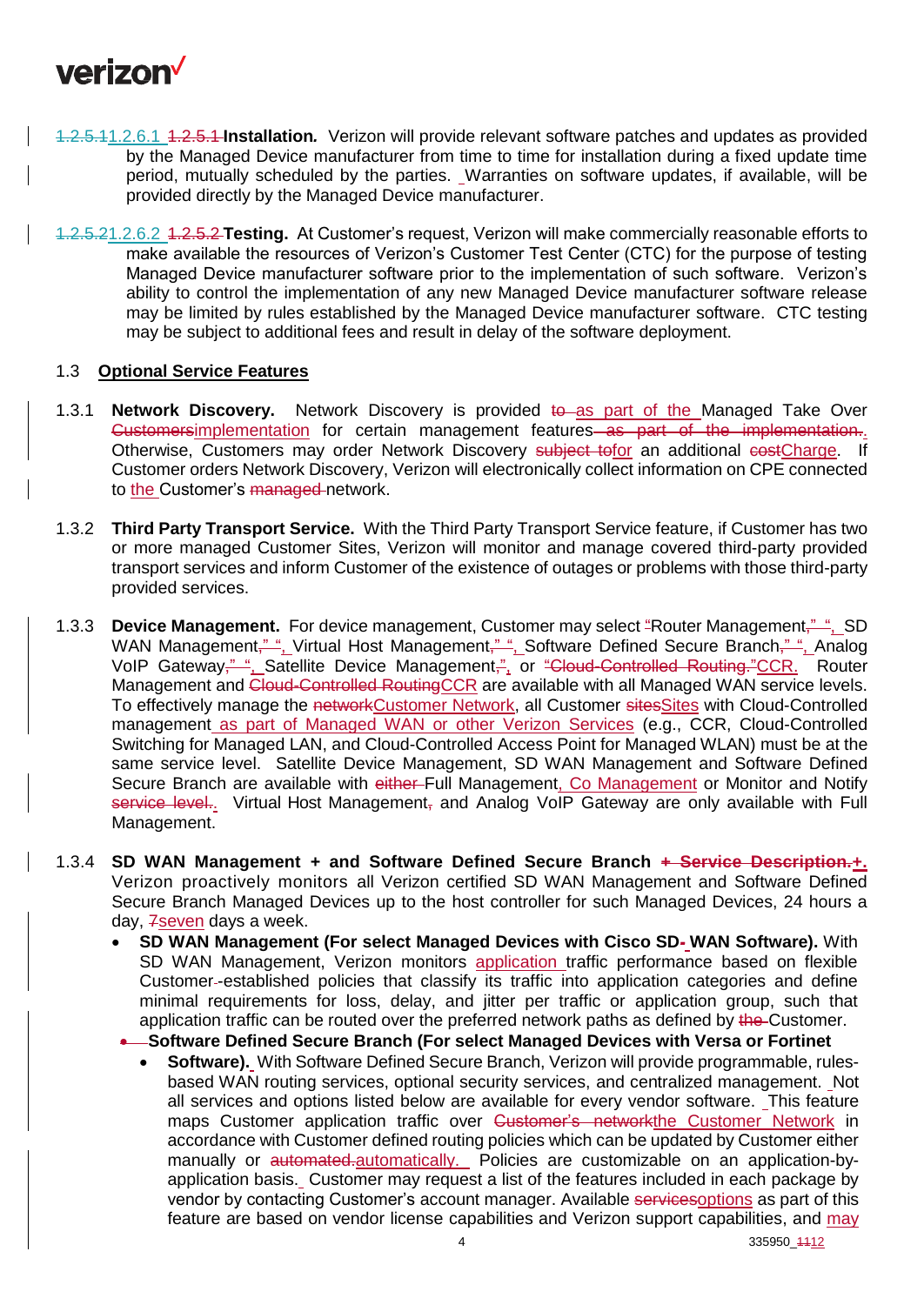

- 1.2.5.11.2.6.1 1.2.5.1 **Installation***.*Verizon will provide relevant software patches and updates as provided by the Managed Device manufacturer from time to time for installation during a fixed update time period, mutually scheduled by the parties. Warranties on software updates, if available, will be provided directly by the Managed Device manufacturer.
- 1.2.5.21.2.6.2 1.2.5.2 **Testing.** At Customer's request, Verizon will make commercially reasonable efforts to make available the resources of Verizon's Customer Test Center (CTC) for the purpose of testing Managed Device manufacturer software prior to the implementation of such software. Verizon's ability to control the implementation of any new Managed Device manufacturer software release may be limited by rules established by the Managed Device manufacturer software. CTC testing may be subject to additional fees and result in delay of the software deployment.

### 1.3 **Optional Service Features**

- 1.3.1 **Network Discovery.** Network Discovery is provided to as part of the Managed Take Over Customersimplementation for certain management features as part of the implementation. Otherwise. Customers may order Network Discovery subject tofor an additional costCharge. If Customer orders Network Discovery, Verizon will electronically collect information on CPE connected to the Customer's managed network.
- 1.3.2 **Third Party Transport Service.** With the Third Party Transport Service feature, if Customer has two or more managed Customer Sites, Verizon will monitor and manage covered third-party provided transport services and inform Customer of the existence of outages or problems with those third-party provided services.
- 1.3.3 **Device Management.** For device management, Customer may select "Router Management," ", SD WAN Management,<sup>""</sup>, Virtual Host Management," ", Software Defined Secure Branch," ", Analog VoIP Gateway," ". Satellite Device Management," or "Cloud-Controlled Routing." CCR. Router Management and Cloud-Controlled RoutingCCR are available with all Managed WAN service levels. To effectively manage the networkCustomer Network, all Customer sitesSites with Cloud-Controlled management as part of Managed WAN or other Verizon Services (e.g., CCR, Cloud-Controlled Switching for Managed LAN, and Cloud-Controlled Access Point for Managed WLAN) must be at the same service level. Satellite Device Management, SD WAN Management and Software Defined Secure Branch are available with either Full Management, Co Management or Monitor and Notify service level.. Virtual Host Management, and Analog VoIP Gateway are only available with Full Management.
- 1.3.4 **SD WAN Management + and Software Defined Secure Branch + Service Description.+.**  Verizon proactively monitors all Verizon certified SD WAN Management and Software Defined Secure Branch Managed Devices up to the host controller for such Managed Devices, 24 hours a day, 7seven days a week.
	- **SD WAN Management (For select Managed Devices with Cisco SD- WAN Software).** With SD WAN Management, Verizon monitors application traffic performance based on flexible Customer-established policies that classify its traffic into application categories and define minimal requirements for loss, delay, and jitter per traffic or application group, such that application traffic can be routed over the preferred network paths as defined by the Customer.
		- **Software Defined Secure Branch (For select Managed Devices with Versa or Fortinet**
			- **Software).** With Software Defined Secure Branch, Verizon will provide programmable, rulesbased WAN routing services, optional security services, and centralized management. Not all services and options listed below are available for every vendor software. This feature maps Customer application traffic over Customer's networkthe Customer Network in accordance with Customer defined routing policies which can be updated by Customer either manually or automated-automatically. Policies are customizable on an application-byapplication basis. Customer may request a list of the features included in each package by vendor by contacting Customer's account manager. Available servicesoptions as part of this feature are based on vendor license capabilities and Verizon support capabilities, and may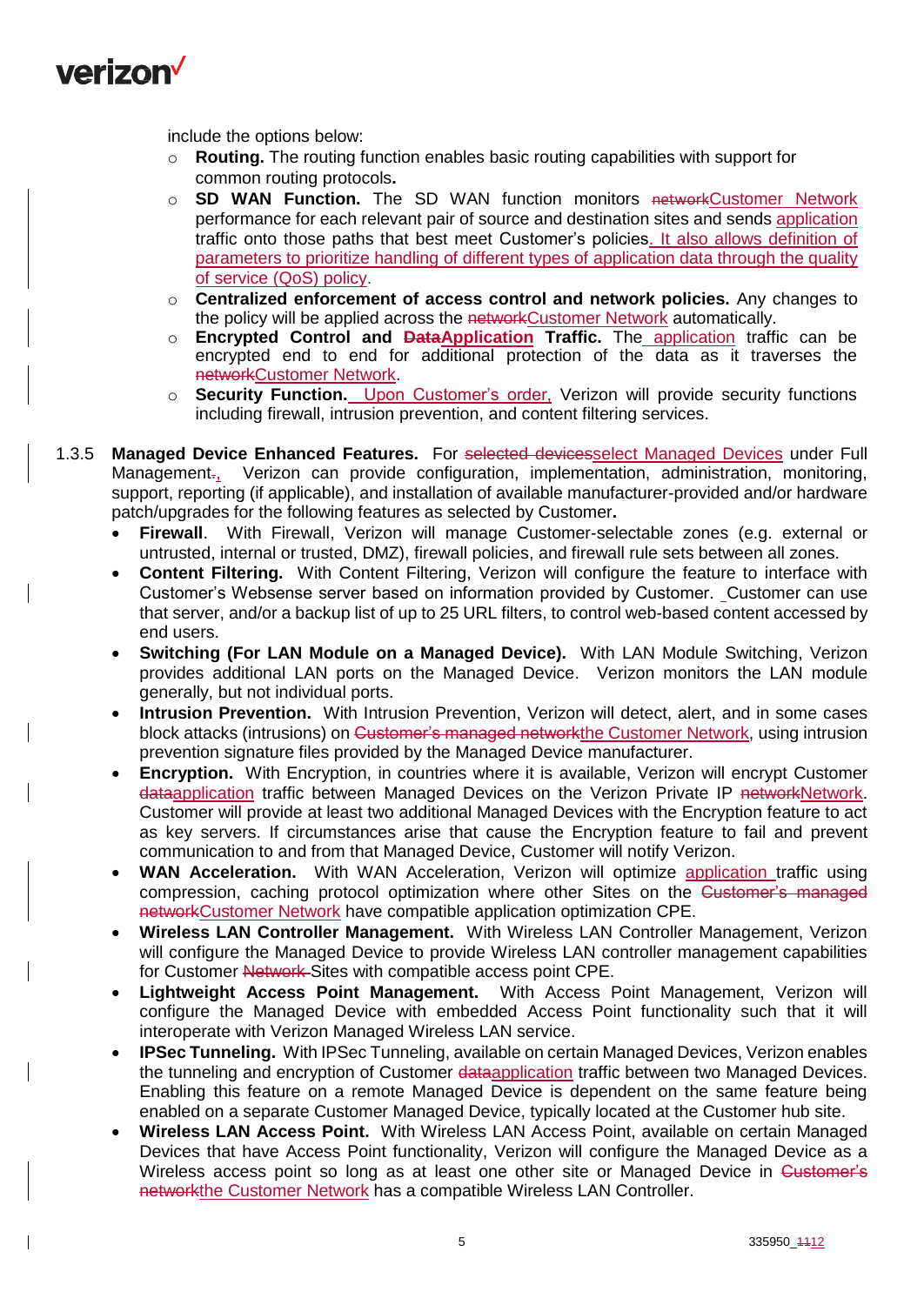

include the options below:

- o **Routing.** The routing function enables basic routing capabilities with support for common routing protocols**.**
- o **SD WAN Function.** The SD WAN function monitors networkCustomer Network performance for each relevant pair of source and destination sites and sends application traffic onto those paths that best meet Customer's policies. It also allows definition of parameters to prioritize handling of different types of application data through the quality of service (QoS) policy.
- o **Centralized enforcement of access control and network policies.** Any changes to the policy will be applied across the networkCustomer Network automatically.
- o **Encrypted Control and DataApplication Traffic.** The application traffic can be encrypted end to end for additional protection of the data as it traverses the networkCustomer Network.
- o **Security Function.** Upon Customer's order, Verizon will provide security functions including firewall, intrusion prevention, and content filtering services.
- 1.3.5 **Managed Device Enhanced Features.** For selected devicesselect Managed Devices under Full Management., Verizon can provide configuration, implementation, administration, monitoring, support, reporting (if applicable), and installation of available manufacturer-provided and/or hardware patch/upgrades for the following features as selected by Customer**.**
	- **Firewall**. With Firewall, Verizon will manage Customer-selectable zones (e.g. external or untrusted, internal or trusted, DMZ), firewall policies, and firewall rule sets between all zones.
	- **Content Filtering.** With Content Filtering, Verizon will configure the feature to interface with Customer's Websense server based on information provided by Customer. Customer can use that server, and/or a backup list of up to 25 URL filters, to control web-based content accessed by end users.
	- **Switching (For LAN Module on a Managed Device).** With LAN Module Switching, Verizon provides additional LAN ports on the Managed Device. Verizon monitors the LAN module generally, but not individual ports.
	- **Intrusion Prevention.** With Intrusion Prevention, Verizon will detect, alert, and in some cases block attacks (intrusions) on <del>Customer's managed network</del>the Customer Network, using intrusion prevention signature files provided by the Managed Device manufacturer.
	- **Encryption.** With Encryption, in countries where it is available, Verizon will encrypt Customer dataapplication traffic between Managed Devices on the Verizon Private IP networkNetwork. Customer will provide at least two additional Managed Devices with the Encryption feature to act as key servers. If circumstances arise that cause the Encryption feature to fail and prevent communication to and from that Managed Device, Customer will notify Verizon.
	- WAN Acceleration. With WAN Acceleration, Verizon will optimize application traffic using compression, caching protocol optimization where other Sites on the Customer's managed networkCustomer Network have compatible application optimization CPE.
	- **Wireless LAN Controller Management.** With Wireless LAN Controller Management, Verizon will configure the Managed Device to provide Wireless LAN controller management capabilities for Customer Network Sites with compatible access point CPE.
	- **Lightweight Access Point Management.** With Access Point Management, Verizon will configure the Managed Device with embedded Access Point functionality such that it will interoperate with Verizon Managed Wireless LAN service.
	- **IPSec Tunneling.** With IPSec Tunneling, available on certain Managed Devices, Verizon enables the tunneling and encryption of Customer dataapplication traffic between two Managed Devices. Enabling this feature on a remote Managed Device is dependent on the same feature being enabled on a separate Customer Managed Device, typically located at the Customer hub site.
	- **Wireless LAN Access Point.** With Wireless LAN Access Point, available on certain Managed Devices that have Access Point functionality, Verizon will configure the Managed Device as a Wireless access point so long as at least one other site or Managed Device in Customer's networkthe Customer Network has a compatible Wireless LAN Controller.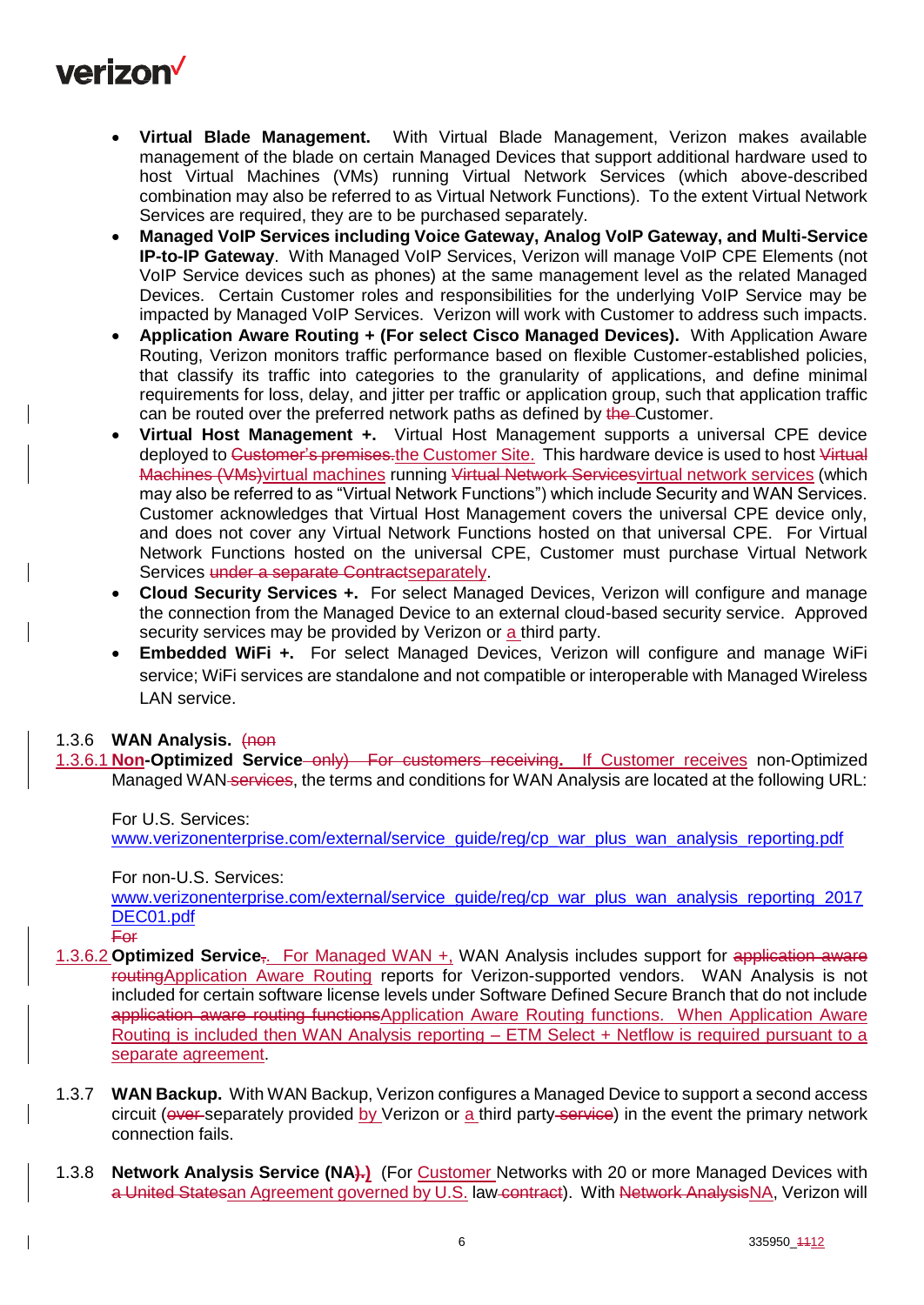

- **Virtual Blade Management.** With Virtual Blade Management, Verizon makes available management of the blade on certain Managed Devices that support additional hardware used to host Virtual Machines (VMs) running Virtual Network Services (which above-described combination may also be referred to as Virtual Network Functions). To the extent Virtual Network Services are required, they are to be purchased separately.
- **Managed VoIP Services including Voice Gateway, Analog VoIP Gateway, and Multi-Service IP-to-IP Gateway**. With Managed VoIP Services, Verizon will manage VoIP CPE Elements (not VoIP Service devices such as phones) at the same management level as the related Managed Devices. Certain Customer roles and responsibilities for the underlying VoIP Service may be impacted by Managed VoIP Services. Verizon will work with Customer to address such impacts.
- **Application Aware Routing + (For select Cisco Managed Devices).** With Application Aware Routing, Verizon monitors traffic performance based on flexible Customer-established policies, that classify its traffic into categories to the granularity of applications, and define minimal requirements for loss, delay, and jitter per traffic or application group, such that application traffic can be routed over the preferred network paths as defined by the Customer.
- **Virtual Host Management +.** Virtual Host Management supports a universal CPE device deployed to Customer's premises.the Customer Site. This hardware device is used to host Virtual Machines (VMs) virtual machines running Virtual Network Services virtual network services (which may also be referred to as "Virtual Network Functions") which include Security and WAN Services. Customer acknowledges that Virtual Host Management covers the universal CPE device only, and does not cover any Virtual Network Functions hosted on that universal CPE. For Virtual Network Functions hosted on the universal CPE, Customer must purchase Virtual Network Services under a separate Contractseparately.
- **Cloud Security Services +.** For select Managed Devices, Verizon will configure and manage the connection from the Managed Device to an external cloud-based security service. Approved security services may be provided by Verizon or a third party.
- **Embedded WiFi +.** For select Managed Devices, Verizon will configure and manage WiFi service; WiFi services are standalone and not compatible or interoperable with Managed Wireless LAN service.

#### 1.3.6 **WAN Analysis.** (non

1.3.6.1 **Non-Optimized Service** only) For customers receiving**.** If Customer receives non-Optimized Managed WAN services, the terms and conditions for WAN Analysis are located at the following URL:

For U.S. Services: www.verizonenterprise.com/external/service\_quide/reg/cp\_war\_plus\_wan\_analysis\_reporting.pdf

For non-U.S. Services:

[www.verizonenterprise.com/external/service\\_guide/reg/cp\\_war\\_plus\\_wan\\_analysis\\_reporting\\_2017](http://www.verizonenterprise.com/external/service_guide/reg/cp_war_plus_wan_analysis_reporting_2017DEC01.pdf) [DEC01.pdf](http://www.verizonenterprise.com/external/service_guide/reg/cp_war_plus_wan_analysis_reporting_2017DEC01.pdf)

For

- 1.3.6.2 **Optimized Service**<sub>7</sub>. For Managed WAN +, WAN Analysis includes support for application aware routingApplication Aware Routing reports for Verizon-supported vendors. WAN Analysis is not included for certain software license levels under Software Defined Secure Branch that do not include application aware routing functions Application Aware Routing functions. When Application Aware Routing is included then WAN Analysis reporting – ETM Select + Netflow is required pursuant to a separate agreement.
- 1.3.7 **WAN Backup.** With WAN Backup, Verizon configures a Managed Device to support a second access circuit (over separately provided by Verizon or a third party service) in the event the primary network connection fails.
- 1.3.8 **Network Analysis Service (NA).)** (For Customer Networks with 20 or more Managed Devices with a United Statesan Agreement governed by U.S. law contract).With Network AnalysisNA, Verizon will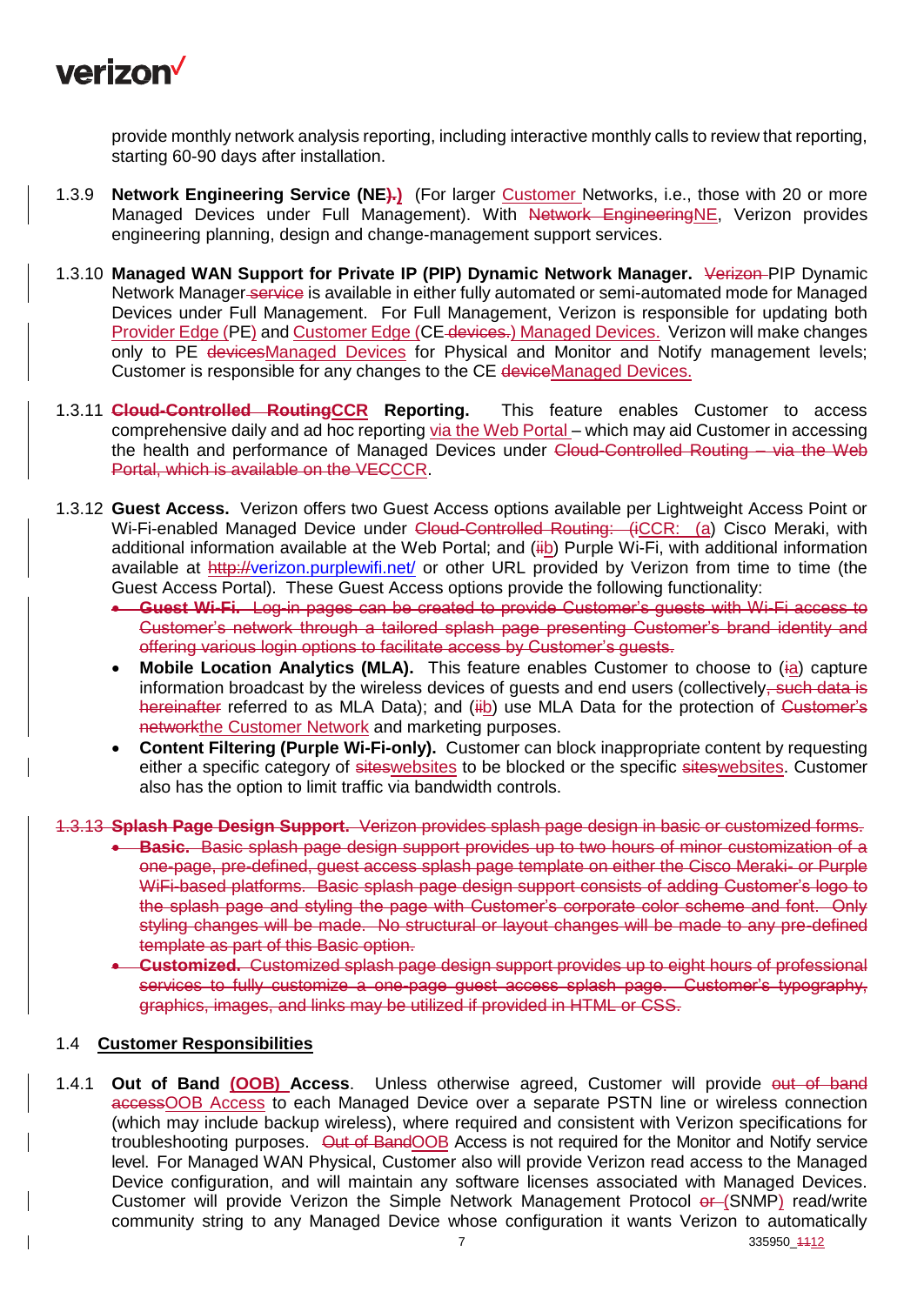

provide monthly network analysis reporting, including interactive monthly calls to review that reporting, starting 60-90 days after installation.

- 1.3.9 **Network Engineering Service (NE).)** (For larger Customer Networks, i.e., those with 20 or more Managed Devices under Full Management). With Network EngineeringNE, Verizon provides engineering planning, design and change-management support services.
- 1.3.10 **Managed WAN Support for Private IP (PIP) Dynamic Network Manager.** Verizon PIP Dynamic Network Manager service is available in either fully automated or semi-automated mode for Managed Devices under Full Management. For Full Management, Verizon is responsible for updating both Provider Edge (PE) and Customer Edge (CE-devices.) Managed Devices. Verizon will make changes only to PE devicesManaged Devices for Physical and Monitor and Notify management levels; Customer is responsible for any changes to the CE deviceManaged Devices.
- 1.3.11 **Cloud-Controlled RoutingCCR Reporting.** This feature enables Customer to access comprehensive daily and ad hoc reporting via the Web Portal – which may aid Customer in accessing the health and performance of Managed Devices under Cloud-Controlled Routing – via the Web Portal, which is available on the VECCCR.
- 1.3.12 **Guest Access.** Verizon offers two Guest Access options available per Lightweight Access Point or Wi-Fi-enabled Managed Device under Cloud-Controlled Routing: (iCCR: (a) Cisco Meraki, with additional information available at the Web Portal; and (iib) Purple Wi-Fi, with additional information available at<http://verizon.purplewifi.net/> or other URL provided by Verizon from time to time (the Guest Access Portal). These Guest Access options provide the following functionality:
	- **Guest Wi-Fi.** Log-in pages can be created to provide Customer's guests with Wi-Fi access to Customer's network through a tailored splash page presenting Customer's brand identity and offering various login options to facilitate access by Customer's guests.
	- **Mobile Location Analytics (MLA).** This feature enables Customer to choose to (ia) capture information broadcast by the wireless devices of quests and end users (collectively, such data is hereinafter referred to as MLA Data); and (iib) use MLA Data for the protection of Customer's networkthe Customer Network and marketing purposes.
	- **Content Filtering (Purple Wi-Fi-only).** Customer can block inappropriate content by requesting either a specific category of siteswebsites to be blocked or the specific siteswebsites. Customer also has the option to limit traffic via bandwidth controls.
- 1.3.13 **Splash Page Design Support.** Verizon provides splash page design in basic or customized forms.
	- **Basic.** Basic splash page design support provides up to two hours of minor customization of a one-page, pre-defined, guest access splash page template on either the Cisco Meraki- or Purple WiFi-based platforms. Basic splash page design support consists of adding Customer's logo to the splash page and styling the page with Customer's corporate color scheme and font. Only styling changes will be made. No structural or layout changes will be made to any pre-defined template as part of this Basic option.
	- **Customized.** Customized splash page design support provides up to eight hours of professional services to fully customize a one-page quest access splash page. Customer's typography, graphics, images, and links may be utilized if provided in HTML or CSS.

#### 1.4 **Customer Responsibilities**

1.4.1 **Out of Band (OOB) Access**. Unless otherwise agreed, Customer will provide out of band accessOOB Access to each Managed Device over a separate PSTN line or wireless connection (which may include backup wireless), where required and consistent with Verizon specifications for troubleshooting purposes. Out of BandOOB Access is not required for the Monitor and Notify service level. For Managed WAN Physical, Customer also will provide Verizon read access to the Managed Device configuration, and will maintain any software licenses associated with Managed Devices. Customer will provide Verizon the Simple Network Management Protocol or (SNMP) read/write community string to any Managed Device whose configuration it wants Verizon to automatically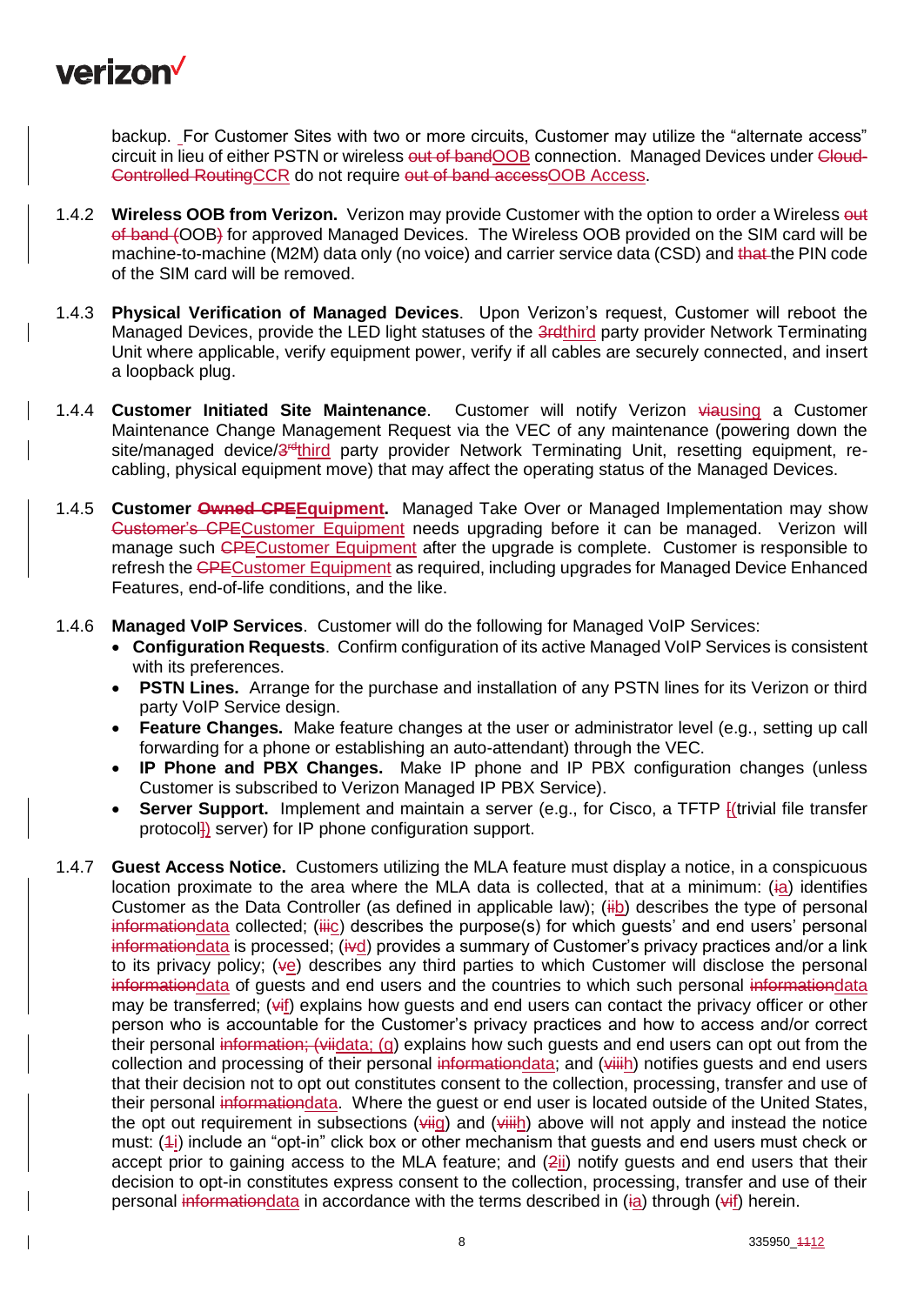

backup. For Customer Sites with two or more circuits, Customer may utilize the "alternate access" circuit in lieu of either PSTN or wireless out of bandOOB connection. Managed Devices under Cloud-Controlled RoutingCCR do not require out of band accessOOB Access.

- 1.4.2 **Wireless OOB from Verizon.** Verizon may provide Customer with the option to order a Wireless out of band (OOB) for approved Managed Devices. The Wireless OOB provided on the SIM card will be machine-to-machine (M2M) data only (no voice) and carrier service data (CSD) and that the PIN code of the SIM card will be removed.
- 1.4.3 **Physical Verification of Managed Devices**. Upon Verizon's request, Customer will reboot the Managed Devices, provide the LED light statuses of the 3rdthird party provider Network Terminating Unit where applicable, verify equipment power, verify if all cables are securely connected, and insert a loopback plug.
- 1.4.4 **Customer Initiated Site Maintenance**. Customer will notify Verizon viausing a Customer Maintenance Change Management Request via the VEC of any maintenance (powering down the site/managed device/3<sup>rd</sup>third party provider Network Terminating Unit, resetting equipment, recabling, physical equipment move) that may affect the operating status of the Managed Devices.
- 1.4.5 **Customer Owned CPEEquipment.** Managed Take Over or Managed Implementation may show Customer's CPECustomer Equipment needs upgrading before it can be managed. Verizon will manage such CPECustomer Equipment after the upgrade is complete. Customer is responsible to refresh the CPECustomer Equipment as required, including upgrades for Managed Device Enhanced Features, end-of-life conditions, and the like.
- 1.4.6 **Managed VoIP Services**. Customer will do the following for Managed VoIP Services:
	- **Configuration Requests**. Confirm configuration of its active Managed VoIP Services is consistent with its preferences.
	- **PSTN Lines.** Arrange for the purchase and installation of any PSTN lines for its Verizon or third party VoIP Service design.
	- **Feature Changes.** Make feature changes at the user or administrator level (e.g., setting up call forwarding for a phone or establishing an auto-attendant) through the VEC.
	- **IP Phone and PBX Changes.** Make IP phone and IP PBX configuration changes (unless Customer is subscribed to Verizon Managed IP PBX Service).
	- **Server Support.** Implement and maintain a server (e.g., for Cisco, a TFTP *[(trivial file transfer*) protocol]) server) for IP phone configuration support.
- 1.4.7 **Guest Access Notice.** Customers utilizing the MLA feature must display a notice, in a conspicuous location proximate to the area where the MLA data is collected, that at a minimum: (ia) identifies Customer as the Data Controller (as defined in applicable law); (iib) describes the type of personal informationdata collected; (iiic) describes the purpose(s) for which quests' and end users' personal informationdata is processed; (ivd) provides a summary of Customer's privacy practices and/or a link to its privacy policy; ( $\psi e$ ) describes any third parties to which Customer will disclose the personal information data of quests and end users and the countries to which such personal information data may be transferred;  $(\forall f)$  explains how guests and end users can contact the privacy officer or other person who is accountable for the Customer's privacy practices and how to access and/or correct their personal information; (viidata; (g) explains how such guests and end users can opt out from the collection and processing of their personal informationdata; and (viiih) notifies guests and end users that their decision not to opt out constitutes consent to the collection, processing, transfer and use of their personal informationdata. Where the guest or end user is located outside of the United States, the opt out requirement in subsections ( $\frac{1}{4}$ ) and  $\frac{1}{4}$ ) above will not apply and instead the notice must: (4i) include an "opt-in" click box or other mechanism that guests and end users must check or accept prior to gaining access to the MLA feature; and (2ii) notify guests and end users that their decision to opt-in constitutes express consent to the collection, processing, transfer and use of their personal informationdata in accordance with the terms described in (ia) through (vif) herein.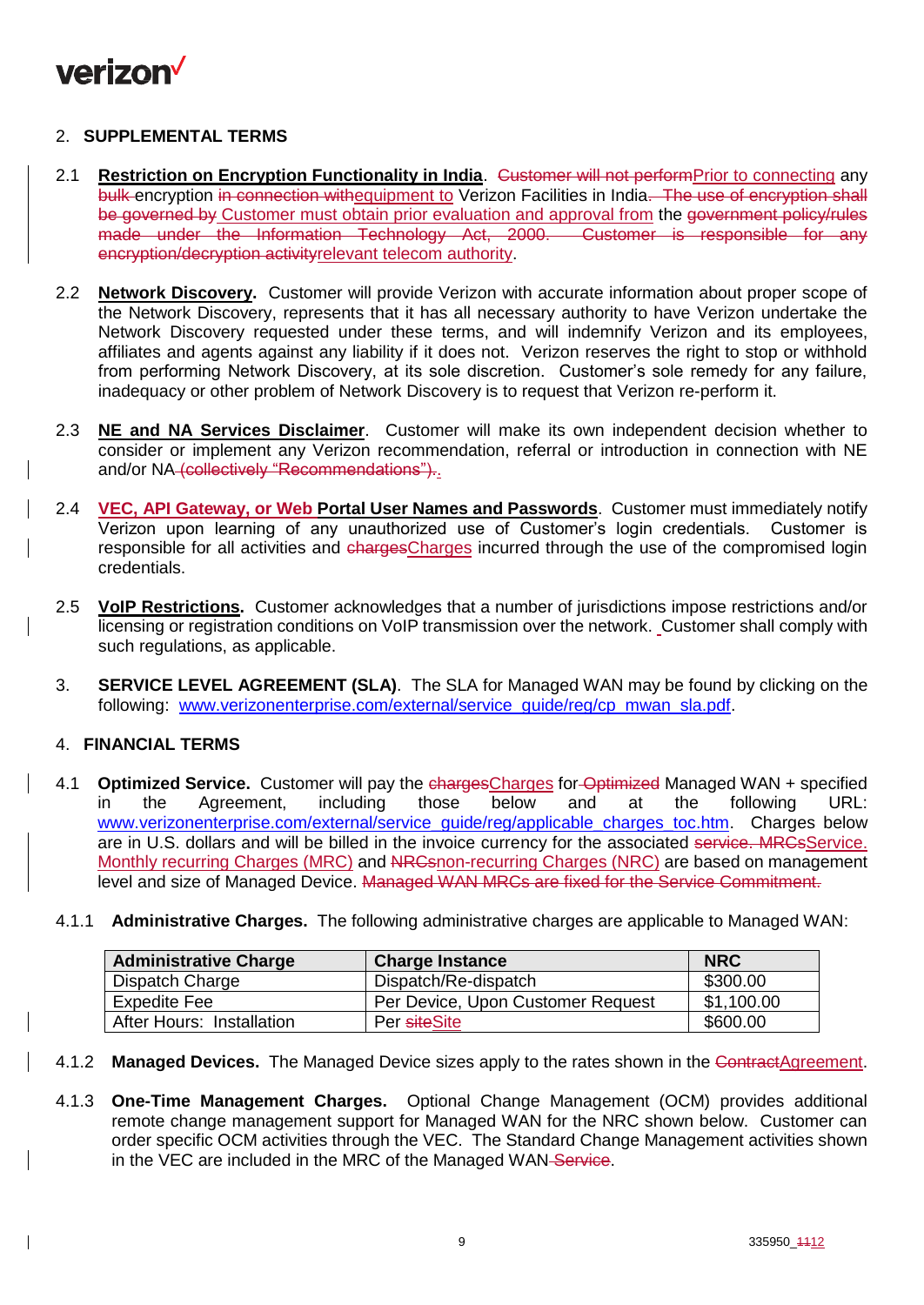

## 2. **SUPPLEMENTAL TERMS**

- 2.1 **Restriction on Encryption Functionality in India.** Customer will not performPrior to connecting any bulk encryption in connection withequipment to Verizon Facilities in India. The use of encryption shall be governed by Customer must obtain prior evaluation and approval from the government policy/rules made under the Information Technology Act, 2000. Customer is responsible for any encryption/decryption activityrelevant telecom authority.
- 2.2 **Network Discovery.** Customer will provide Verizon with accurate information about proper scope of the Network Discovery, represents that it has all necessary authority to have Verizon undertake the Network Discovery requested under these terms, and will indemnify Verizon and its employees, affiliates and agents against any liability if it does not. Verizon reserves the right to stop or withhold from performing Network Discovery, at its sole discretion. Customer's sole remedy for any failure, inadequacy or other problem of Network Discovery is to request that Verizon re-perform it.
- 2.3 **NE and NA Services Disclaimer**. Customer will make its own independent decision whether to consider or implement any Verizon recommendation, referral or introduction in connection with NE and/or NA (collectively "Recommendations").
- 2.4 **VEC, API Gateway, or Web Portal User Names and Passwords**. Customer must immediately notify Verizon upon learning of any unauthorized use of Customer's login credentials. Customer is responsible for all activities and chargesCharges incurred through the use of the compromised login credentials.
- 2.5 **VoIP Restrictions.** Customer acknowledges that a number of jurisdictions impose restrictions and/or licensing or registration conditions on VoIP transmission over the network. Customer shall comply with such regulations, as applicable.
- 3. **SERVICE LEVEL AGREEMENT (SLA)**. The SLA for Managed WAN may be found by clicking on the following: [www.verizonenterprise.com/external/service\\_guide/reg/cp\\_mwan\\_sla.pdf.](http://www.verizonenterprise.com/external/service_guide/reg/cp_mwan_sla.pdf)

## 4. **FINANCIAL TERMS**

- 4.1 **Optimized Service.** Customer will pay the chargesCharges for Optimized Managed WAN + specified in the Agreement, including those below and at the following URL: [www.verizonenterprise.com/external/service\\_guide/reg/applicable\\_charges\\_toc.htm.](http://www.verizonenterprise.com/external/service_guide/reg/applicable_charges_toc.htm) Charges below are in U.S. dollars and will be billed in the invoice currency for the associated service. MRCsService. Monthly recurring Charges (MRC) and NRCsnon-recurring Charges (NRC) are based on management level and size of Managed Device. Managed WAN MRCs are fixed for the Service Commitment.
- 4.1.1 **Administrative Charges.** The following administrative charges are applicable to Managed WAN:

| <b>Administrative Charge</b> | <b>Charge Instance</b>            | <b>NRC</b> |
|------------------------------|-----------------------------------|------------|
| Dispatch Charge              | Dispatch/Re-dispatch              | \$300.00   |
| <b>Expedite Fee</b>          | Per Device, Upon Customer Request | \$1,100.00 |
| After Hours: Installation    | Per siteSite                      | \$600.00   |

- 4.1.2 **Managed Devices.** The Managed Device sizes apply to the rates shown in the ContractAgreement.
- 4.1.3 **One-Time Management Charges.** Optional Change Management (OCM) provides additional remote change management support for Managed WAN for the NRC shown below. Customer can order specific OCM activities through the VEC. The Standard Change Management activities shown in the VEC are included in the MRC of the Managed WAN-Service.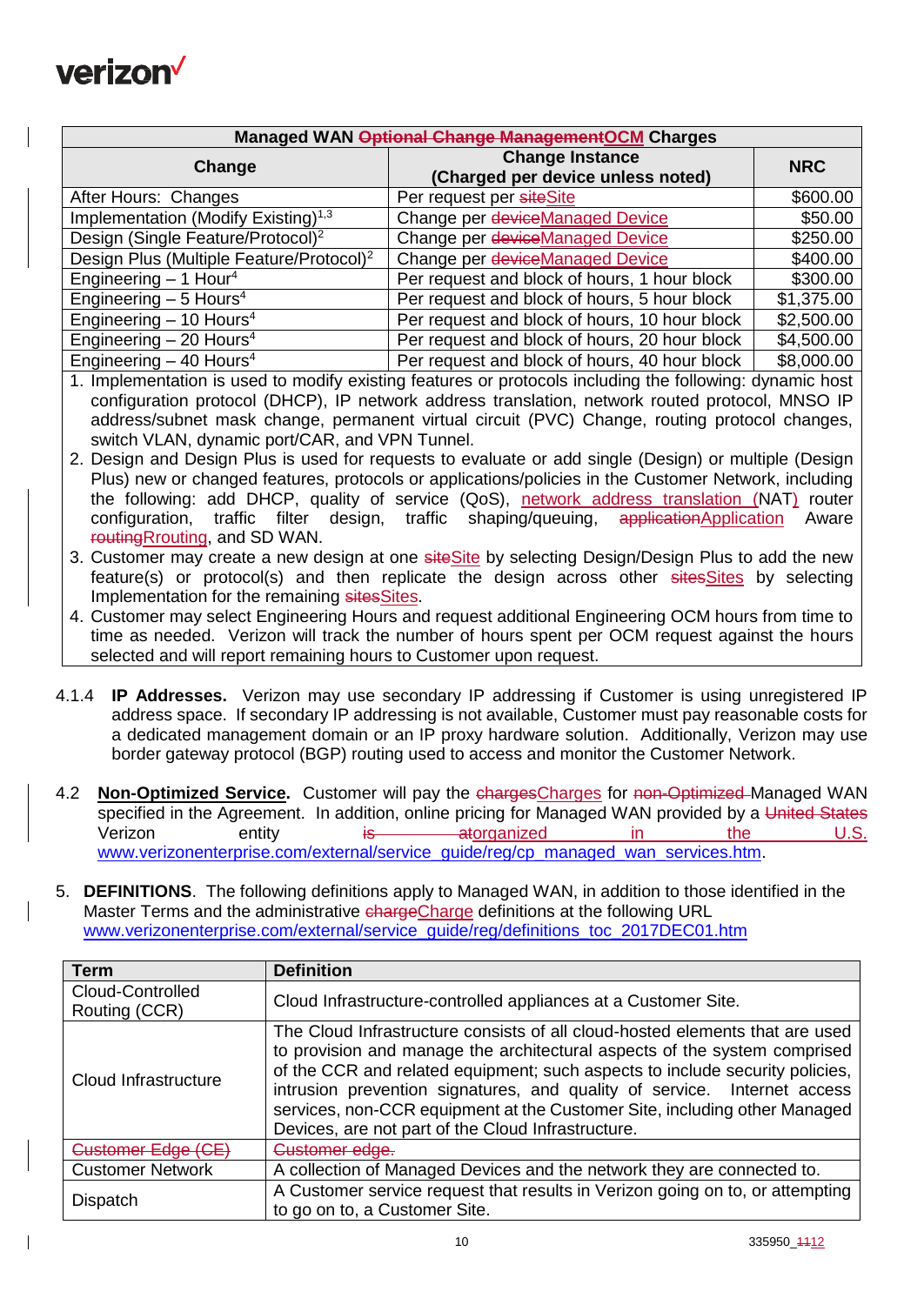

| Managed WAN Optional Change Management OCM Charges   |                                                             |            |  |
|------------------------------------------------------|-------------------------------------------------------------|------------|--|
| Change                                               | <b>Change Instance</b><br>(Charged per device unless noted) | <b>NRC</b> |  |
| After Hours: Changes                                 | Per request per siteSite                                    | \$600.00   |  |
| Implementation (Modify Existing) <sup>1,3</sup>      | Change per deviceManaged Device                             | \$50.00    |  |
| Design (Single Feature/Protocol) <sup>2</sup>        | Change per deviceManaged Device                             | \$250.00   |  |
| Design Plus (Multiple Feature/Protocol) <sup>2</sup> | Change per deviceManaged Device                             | \$400.00   |  |
| Engineering $-1$ Hour <sup>4</sup>                   | Per request and block of hours, 1 hour block                | \$300.00   |  |
| Engineering $-5$ Hours <sup>4</sup>                  | Per request and block of hours, 5 hour block                | \$1,375.00 |  |
| Engineering $-10$ Hours <sup>4</sup>                 | Per request and block of hours, 10 hour block               | \$2,500.00 |  |
| Engineering $-20$ Hours <sup>4</sup>                 | Per request and block of hours, 20 hour block               | \$4,500.00 |  |
| Engineering $-$ 40 Hours <sup>4</sup>                | Per request and block of hours, 40 hour block               | \$8,000.00 |  |

1. Implementation is used to modify existing features or protocols including the following: dynamic host configuration protocol (DHCP), IP network address translation, network routed protocol, MNSO IP address/subnet mask change, permanent virtual circuit (PVC) Change, routing protocol changes, switch VLAN, dynamic port/CAR, and VPN Tunnel.

- 2. Design and Design Plus is used for requests to evaluate or add single (Design) or multiple (Design Plus) new or changed features, protocols or applications/policies in the Customer Network, including the following: add DHCP, quality of service (QoS), network address translation (NAT) router configuration, traffic filter design, traffic shaping/queuing, applicationApplication Aware routingRrouting, and SD WAN.
- 3. Customer may create a new design at one siteSite by selecting Design/Design Plus to add the new feature(s) or protocol(s) and then replicate the design across other sitesSites by selecting Implementation for the remaining sitesSites.
- 4. Customer may select Engineering Hours and request additional Engineering OCM hours from time to time as needed. Verizon will track the number of hours spent per OCM request against the hours selected and will report remaining hours to Customer upon request.
- 4.1.4 **IP Addresses.** Verizon may use secondary IP addressing if Customer is using unregistered IP address space. If secondary IP addressing is not available, Customer must pay reasonable costs for a dedicated management domain or an IP proxy hardware solution. Additionally, Verizon may use border gateway protocol (BGP) routing used to access and monitor the Customer Network.
- 4.2 **Non-Optimized Service.** Customer will pay the chargesCharges for non-Optimized Managed WAN specified in the Agreement. In addition, online pricing for Managed WAN provided by a United States Verizon entity is atorganized in the U.S. [www.verizonenterprise.com/external/service\\_guide/reg/cp\\_managed\\_wan\\_services.htm.](http://www.verizonenterprise.com/external/service_guide/reg/cp_managed_wan_services.htm)
- 5. **DEFINITIONS**. The following definitions apply to Managed WAN, in addition to those identified in the Master Terms and the administrative chargeCharge definitions at the following URL [www.verizonenterprise.com/external/service\\_guide/reg/definitions\\_toc\\_2017DEC01.htm](http://www.verizonenterprise.com/external/service_guide/reg/definitions_toc_2017DEC01.htm)

| Term                              | <b>Definition</b>                                                                                                                                                                                                                                                                                                                                                                                                                                        |
|-----------------------------------|----------------------------------------------------------------------------------------------------------------------------------------------------------------------------------------------------------------------------------------------------------------------------------------------------------------------------------------------------------------------------------------------------------------------------------------------------------|
| Cloud-Controlled<br>Routing (CCR) | Cloud Infrastructure-controlled appliances at a Customer Site.                                                                                                                                                                                                                                                                                                                                                                                           |
| Cloud Infrastructure              | The Cloud Infrastructure consists of all cloud-hosted elements that are used<br>to provision and manage the architectural aspects of the system comprised<br>of the CCR and related equipment; such aspects to include security policies,<br>intrusion prevention signatures, and quality of service. Internet access<br>services, non-CCR equipment at the Customer Site, including other Managed<br>Devices, are not part of the Cloud Infrastructure. |
| Customer Edge (CE                 | Customer edge.                                                                                                                                                                                                                                                                                                                                                                                                                                           |
| <b>Customer Network</b>           | A collection of Managed Devices and the network they are connected to.                                                                                                                                                                                                                                                                                                                                                                                   |
| <b>Dispatch</b>                   | A Customer service request that results in Verizon going on to, or attempting<br>to go on to, a Customer Site.                                                                                                                                                                                                                                                                                                                                           |